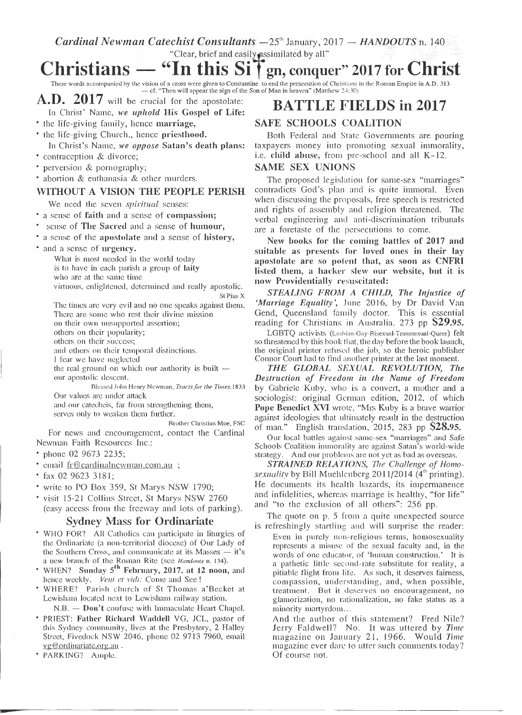$\emph{Cardinal Newman Catechist Consultants } -25^{\text{th}}$  January, 2017  $-$  *HANDOUTS* n. 140 an Catechist Consulation = 25 January, 20<br>"Clear, brief and easily *essimilated* by all"

# $HANDOUTS$  n. 140<br>  $017$  for Christ<br>  $\sum_{n \text{ the Roman Empire in A.D. 313}}$ **Cardinal Newman Cate**<br> **Christians** — <br>
These words accompanied by the vision of a **"In this Si T g11, conquer" 2017 for** Christ

These words accompanied by the vision of a cross were given to Constantine to end the persecution of Christians in the Roman Empire in A.D. 313 — cf. "Then will appear the sign of the Son of Man in heaven" (Matthew 24:30)

# **A.D. 2017** will be crucial for the apostolate: **BATTLE FIELDS in 2017**

- In Christ' Name, *we uphold* His Gospel of Life: • the life-giving family, hence marriage,
- the life-giving Church., hence priesthood.
- In Christ's Name, *we oppose* Satan's death plans:
- contraception & divorce;
- perversion & pornography;
- abortion & euthanasia & other murders.

### WITHOUT A VISION THE PEOPLE PERISH

We need the seven *spiritual* senses:

- a sense of faith and a sense of compassion;
- sense of The Sacred and a sense of humour,
- a sense of the apostolate and a sense of history,
- and a sense of urgency.

What is most needed in the world today

is to have in each parish a group of laity who are at the same time

virtuous, enlightened, determined and really apostolic.

St Pius X The times are very evil and no one speaks against them. There are some who rest their divine mission on their own unsupported assertion; others on their popularity; others on their success; and others on their temporal distinctions. I fear we have neglected

the real ground on which our authority is built  $$ our apostolic descent.

Blessed John Henry Newman, *Tracts for the Times,* <sup>1833</sup> Our values are under attack

and our catechcis, far from strengthening them, serves only to weaken them further.

Brother Christian Moe, FSC For news and encouragement, contact the Cardinal Newman Faith Resources Inc.:

- phone 02 9673 2235;
- email fr@cardinalnewman.com,au ;
- fax 02 9623 3181;
- write to PO Box 359, St Marys NSW 1790;
- visit 15-21 Collins Street, St Marys NSW 2760 (easy access from the freeway and lots of parking).

## Sydney Mass for Ordinariate

- WHO FOR'? All Catholics can participate in liturgies of the Ordinariate (a non-territorial diocese) of Our Lady of the Southern Cross, and communicate at its Masses — it's the Southern Cross, and communicate at its Masses — it's a new branch of the Roman Rite (see *Handouts* n. 134).
- WHEN? Sunday 5<sup>th</sup> February, 2017, at 12 noon, and hence weekly. *Veni et vidi:* Come and See !
- WHERE? Parish church of St Thomas a'Becket at Lewisham located next to Lewisham railway station.

N.B. - Don't confuse with Immaculate Heart Chapel.

- PRlEST: Father Richard Waddell VG, JCL, pastor of this Sydney community, lives at the Presbytery, 2 Halley Street, Fivedock NSW 2046, phone 02 9713 7960, email vg@ordinariate.org.au .
- PARKING? Ample.

### SAFE SCHOOLS COALITION

Both Federal and State Governments are pouring taxpayers money into promoting sexual immorality, i.e. child abuse, from pre-school and all K-12.

### SAME SEX UNIONS

The proposed legislation for same-sex "marriages" contradicts God's plan and is quite immoral. Even when discussing the proposals, free speech is restricted and rights of assembly and religion threatened. The verbal engineering and anti-discrimination tribunals are a foretaste of the persecutions to come.

New books for the coming battles of 2017 and suitable as presents for loved ones in their lay apostolate are so potent that, as soon as CNFRI listed them, a hacker slew our website, but it is now Providentially resuscitated:

*STEALING FROM A CHILD, The Injustice of 'Marriage Equality ',* June 2016, by Dr David Van Gend, Queensland family doctor. This is essential reading for Christians in Australia. 273 pp \$29.95.

LGBTQ activists (Lesbian-Gay-Bisexual-Transsexual-Queer) felt so threatened by this book that, the day before the book launch, the original printer refused the job, so the heroic publisher Connor Court had to find another printer at the last moment.

*THE GWBAL SEXUAL REVOLUTION, The Destruction of Freedom in the Name of Freedom*  by Gabriele Kuby, who is a convert, a mother and a sociologist: original German edition, 2012, of which Pope Benedict XVI wrote, "Mrs Kuby is a brave wanior against ideologies that ultimately result in the destruction of man." English translation, 2015, 283 pp \$28.95.

Our local battles against same-sex "marriages" and Safe Schools Coalition immorality are against Satan's world-wide strategy. And our problems are not yet as bad as overseas.

*STRAINED RELATIONS, The Challenge of Homo*sexuality by Bill Muehlcnberg 2011/2014 (4<sup>th</sup> printing). He documents its health hazards, its impermanence and infidelities, whereas marriage is healthy, "for life" and "to the exclusion of all others": 256 pp.

The quote on p. 5 from a quite unexpected source is refreshingly startling and will surprise the reader: Even in purely non-religious terms, homosexuality represents a misuse of the sexual faculty and, in the words of one educator, of 'human construction.' It is a pathetic little second-rate substitute for reality, a pitiable flight from life. As such, it deserves fairness, compassion, understanding, and, when possible, treatment. But it deserves no encouragement, no glamorization, no rationalization, no fake status as a minority martyrdom...

And the author of this statement? Fred Nile? Jerry Faldwell? No. It was uttered by *Time*  magazine on January 21, 1966. Would *Time*  magazine ever dare to utter such comments today? Of course not.